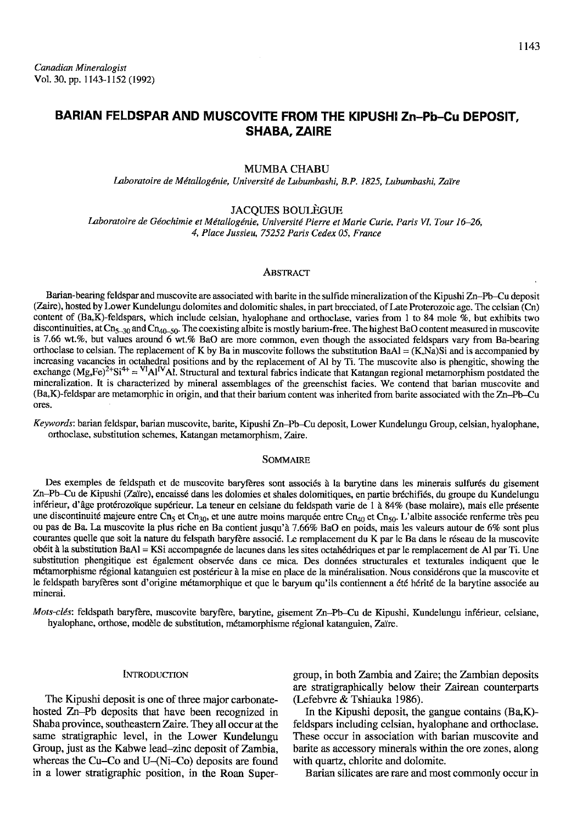# BARIAN FELDSPAR AND MUSCOVITE FROM THE KIPUSHI Zn-Pb-Cu DEPOSIT, SHABA. ZAIRE

## MUMBA CHABU

Laboratoire de Métallogénie, Université de Lubumbashi, B.P. 1825, Lubumbashi, Zaïre

## JACQUES BOULEGUE

Laboratoire de Géochimie et Métallogénie, Université Pierre et Marie Curie, Paris VI, Tour 16-26, 4, Place Jussieu, 75252 Paris Cedex 05, France

#### ABSTRAgT

Barian-bearing feldspar and muscovite are associated with barite in the sulfide mineralization of the Kipushi Zn-Pb-Cu deposit (Zaire), hosted by Lower Kundelungu dolomites and dolomitic shales, in part brecciated, of Late Proterozoic age. The celsian (Cn) content of (Ba,K)-feldspars, which include celsian, hyalophane and orthoclase, varies from 1 to 84 mole %, but exhibits two discontinuities, at Cn<sub>5-30</sub> and Cn<sub>40-50</sub>. The coexisting albite is mostly barium-free. The highest BaO content measured in muscovite is 7.66 wt.%, but values around 6 wt.% BaO are more common, even though the associated feldspars vary from Ba-bearing orthoclase to celsian. The replacement of K by Ba in muscovite follows the substitution  $BaA = (K, Na)Si$  and is accompanied by increasing vacancies in octahedral positions and by the replacement of Al by Ti. The muscovite also is phengitic, showing the exchange  $(Mg,Fe)^{2+}Si^{4+} = {}^{VI}Al^{IV}Al$ . Structural and textural fabrics indicate that Katangan regional metamorphism postdated the mineralization. It is characterized by mineral assemblages of the greenschist facies. We contend that barian muscovite and (Ba,K)-feldspar are metamorphic in origin, and that their barium content was inherited from barite associated with the Zn-Pb-Cu ores.

Keywords: barian feldspar, barian muscovite, barite, Kipushi Zn-Pb-Cu deposit, Lower Kundelungu Group, celsian, hyalophane, orthoclase, substitution schemes, Katangan metamorphism, Zaire.

### **SOMMAIRE**

Des exemples de feldspath et de muscovite baryfères sont associés à la barytine dans les minerais sulfurés du gisement Zn-Pb-Cu de Kipushi (Zaïre), encaissé dans les dolomies et shales dolomitiques, en partie bréchifiés, du groupe du Kundelungu inférieur, d'âge protérozoïque supérieur. La teneur en celsiane du feldspath varie de 1 à 84% (base molaire), mais elle présente une discontinuité majeure entre Cn<sub>5</sub> et Cn<sub>30</sub>, et une autre moins marquée entre Cn<sub>40</sub> et Cn<sub>50</sub>. L'albite associée renferme très peu ou pas de Ba. La muscovite la plus riche en Ba contient jusqu'à 7.66% BaO en poids, mais les valeurs autour de 6% sont plus courantes quelle que soit la nature du felspath baryfère associé. Le remplacement du K par le Ba dans le réseau de la muscovite ob6it i la substitution BaAl = KSi accompagn6e de lacunes dans les sites octah6driques et par le remplacement de Al par Ti. Une substitution phengitique est également observée dans ce mica. Des données structurales et texturales indiquent que le métamorphisme régional katanguien est postérieur à la mise en place de la minéralisation. Nous considérons que la muscovite et le feldspath baryfères sont d'origine métamorphique et que le baryum qu'ils contiennent a été hérité de la barytine associée au minerai.

Mots-clés: feldspath baryfère, muscovite baryfère, barytine, gisement Zn-Pb-Cu de Kipushi, Kundelungu inférieur, celsiane, hyalophane, orthose, modèle de substitution, métamorphisme régional katanguien, Zaïre.

### INTRODUCTION

The Kipushi deposit is one of three major carbonatehosted Zn-Pb deposits that have been recognized in Shaba province, southeastern Zaire. They all occur at the same stratigraphic level, in the Lower Kundelungu Group, just as the Kabwe lead-zinc deposit of Zambia, whereas the Cu-Co and U-(Ni-Co) deposits are found in a lower stratigraphic position, in the Roan Supergroup, in both Zambia and Zaire; the Zambian deposits are stratigraphically below their Zairean counterparts (Lefebvre & Tshiauka 1986).

In the Kipushi deposit, the gangue contains (BaK) feldspars including celsian, hyalophane and orthoclase. These occur in association with barian muscovite and barite as accessory minerals within the ore zones, along with quartz, chlorite and dolomite.

Barian silicates are rare and most commonlv occur in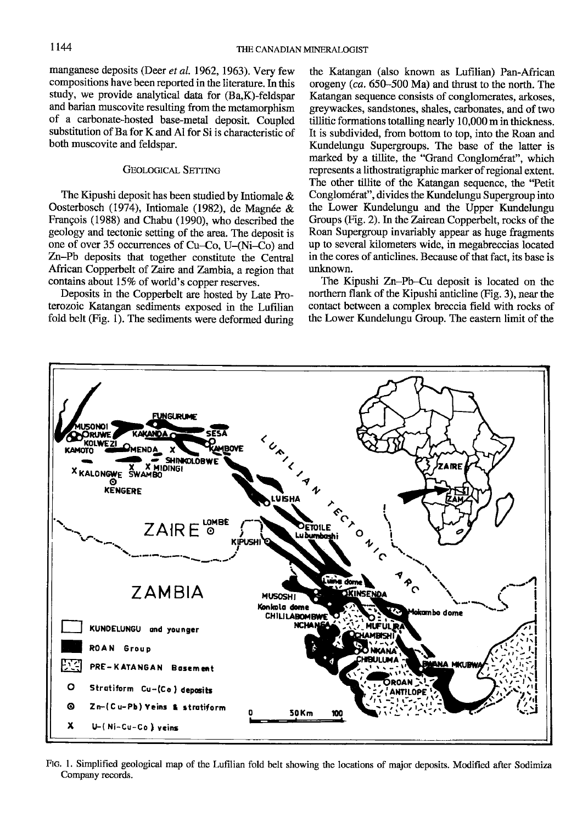manganese deposits (Deer et al. 1962, 1963). Very few compositions have been reported in the literature. In this study, we provide analyical data for (Ba,K)-feldspar and barian muscovite resulting from the metamorphism of a carbonate-hosted base-metal deposit. Coupled substitution of Ba for K and Al for Si is characteristic of both muscovite and feldspar.

## GEOLOGICAL SETTING

The Kipushi deposit has been studied by Intiomale & Oosterbosch (1974), Intiomale (1982), de Magnée & Frangois (1988) and Chabu (1990), who described the geology and tectonic setting of the area. The deposit is one of over 35 occurrences of  $Cu-Co$ ,  $U-(Ni-Co)$  and Zn-Pb deposits that together constitute the Central African Copperbelt of Zaire and Zambia, a region that contains about 15% of world's copper reserves.

Deposits in the Copperbelt are hosted by Late Proterozoic Katangan sediments exposed in the Lufilian fold belt (Fig. 1). The sediments were deformed during

the Katangan (also known as Lufilian) Pan-African orogeny (ca. 65G-500 Ma) and thrust to the north. The Katangan sequence consists of conglomerates, arkoses, greywackes, sandstones, shales, carbonates, and of two tillitic formations totalling nearly 10,000 m in thickness. It is subdivided, from bottom to top, into the Roan and Kundelungu Supergroups. The base of the latter is marked by a tillite, the "Grand Conglomérat", which represents a lithostratigraphic marker of regional extent. The other tillite of the Katangan sequence, the "Petit" Conglom6rat", divides the Kundelungu Supergroup into the Lower Kundelungu and the Upper Kundelungu Groups (Fig. 2). In the Zairean Copperbelt, rocks of the Roan Supergroup invariably appear as huge fragments up to several kilometers wide, in megabreccias located in the cores of anticlines. Because of that fact, its base is unknown.

The Kipushi Zn-Pb-Cu deposit is located on the northern flank of the Kipushi anticline (Fig. 3), near the contact between a complex breccia field with rocks of the Lower Kundelungu Group. The eastern limit of the



Ftc. l. Simplified geological map of the Lufilian fold belt showing the locations of major deposits. Modified after Sodimiza Company records.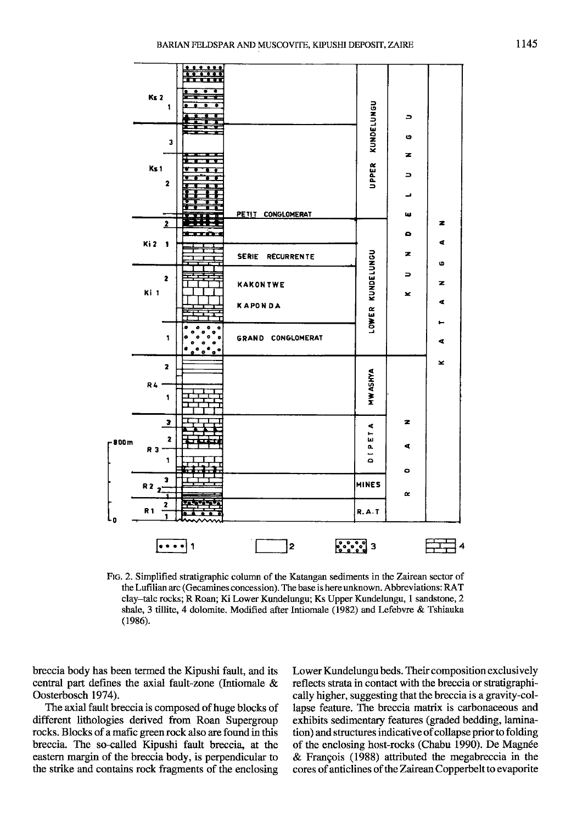

Ftc. 2. Simplified stratigraphic column of the Katangan sediments in the Tairan sector of the Lufilian arc (Gecamines concession). The base is here unknown. Abbreviations: RAT clay-talc rocks; R Roan; Ki Lower Kundelungu; Ks Upper Kundelungu, 1 sandstone,2 shale, 3 tillite, 4 dolomite. Modified after lntiomale (1982) and Lefebwe & Tshiauka (1986).

breccia body has been termed the Kipushi fault, and its central part defines the axial fault-zone (Intiomale & Oosterbosch 1974).

The axial fault breccia is composed of huge blocks of different lithologies derived from Roan Supergroup rocks. Blocks of a mafic green rock also are found in this breccia. The so-called Kipushi fault breccia, at the eastern margin of the breccia body, is perpendicular to the strike and contains rock fragments of the enclosing

Lower Kundelungu beds. Their composition exclusively reflects strata in contact with the breccia or stratigraphically higher, suggesting that the breccia is a gravity-collapse feature. The breccia matrix is carbonaceous and exhibits sedimentary features (graded bedding, lamination) and structures indicative of collapse prior to folding of the enclosing host-rocks (Chabu 1990). De Magnée & Frangois (1988) attributed the megabreccia in the cores of anticlines of the Zairean Copperbelt to evaporite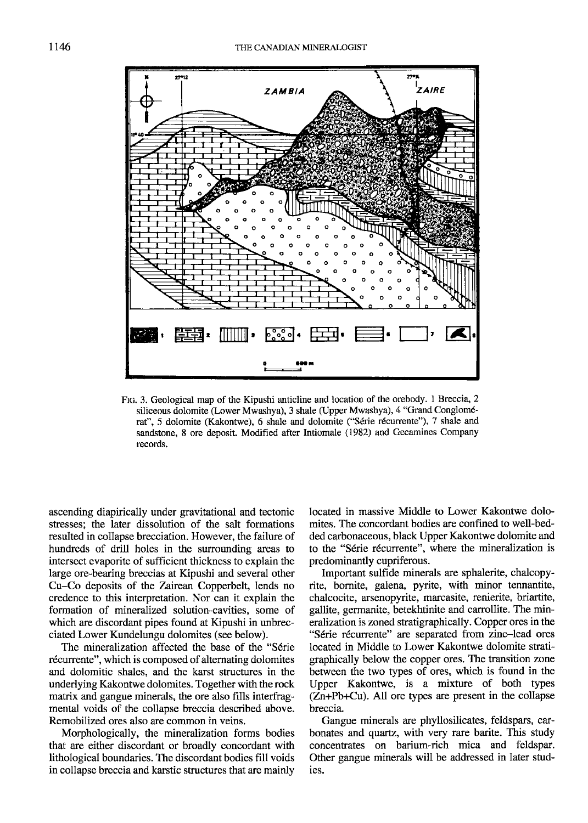

FIG. 3. Geological map of the Kipushi anticline and location of the orebody. 1 Breccia, 2 siliceous dolomite (Lower Mwashya), 3 shale (Upper Mwashya), 4 "Grand Conglom6 rat", 5 dolomite (Kakontwe), 6 shale and dolomite ("Série récurrente"), 7 shale and sandstone, 8 ore deposit. Modified after Intiomale (1982) and Gecamines Company records.

ascending diapirically under gravitational and tectonic stresses: the later dissolution of the salt formations resulted in collapse brecciation. However, the failure of hundreds of drill holes in the surrounding areas to intersect evaporite of sufficient thickness to explain the large ore-bearing breccias at Kipushi and several other Cu-Co deposits of the Zairean Copperbelt, lends no credence to this interpretation. Nor can it explain the formation of mineralized solution-cavities, some of which are discordant pipes found at Kipushi in unbrecciated Lower Kundelungu dolomites (see below).

The mineralization affected the base of the "Série récurrente", which is composed of alternating dolomites and dolomitic shales. and the karst structures in the underlying Kakontwe dolomites. Together with the rock matrix and gangue minerals, the ore also fills interfragmental voids of the collapse breccia described above. Remobilized ores also are common in veins.

Morphologically, the mineralization forms bodies that are either discordant or broadly concordant with lithological boundaries. The discordant bodies fill voids in collapse breccia and karstic structures that are mainly located in massive Middle to Lower Kakontwe dolomites. The concordant bodies are confined to well-bedded carbonaceous, black Upper Kakontwe dolomite and to the "Série récurrente", where the mineralization is predominantly cupriferous.

Important sulfide minerals are sphalerite, chalcopyrite, bomite, galena, pyrite, with minor tennantite, chalcocite, arsenopyrite, marcasite, renierite, briartite, gallite, germanite, betekhtinite and canollite. The mineralization is zoned stratigraphically. Copper ores in the "Série récurrente" are separated from zinc-lead ores located in Middle to Lower Kakontwe dolomite stratigraphically below the copper ores. The transition zone between the two types of ores, which is found in the Upper Kakontwe, is a mixture of both rypes (Zn+Pb+Cu). All ore types are present in the collapse breccia.

Gangue minerals are phyllosilicates, feldspars, carbonates and quartz, with very rare barite. This study concentrates on barium-rich mica and feldspar. Other gangue minerals will be addressed in later studies.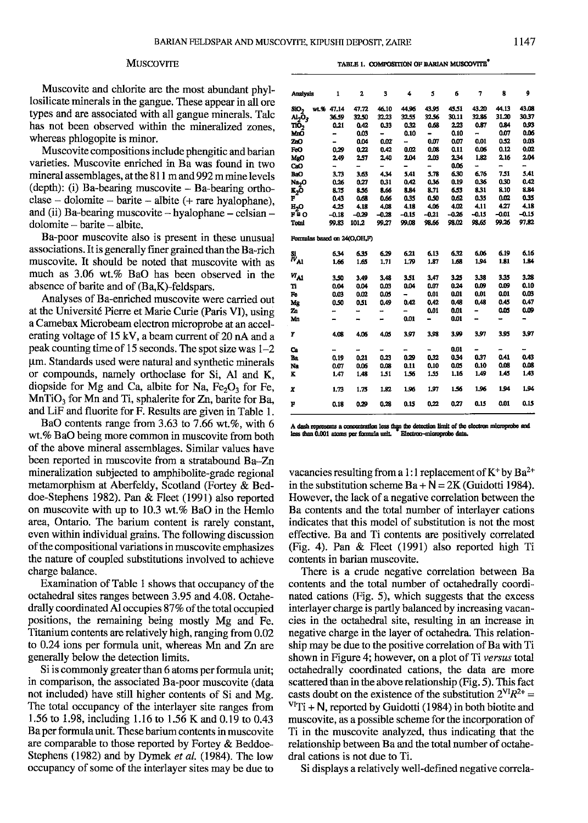#### **MUSCOVITE**

| TABLE 1. COMPOSITION OF BARIAN MUSCOVITE |  |
|------------------------------------------|--|
|                                          |  |

Muscovite and chlorite are the most abundant phyllosilicate minerals in the gangue. These appear in all ore types and are associated with all gangue minerals. Talc has not been observed within the mineralized zones. whereas phlogopite is minor.

Muscovite compositions include phengitic and barian varieties. Muscovite enriched in Ba was found in two mineral assemblages, at the 8l I m and 992 m mine levels  $(depth):$  (i) Ba-bearing muscovite  $-$  Ba-bearing ortho- $\text{close} - \text{dolomic} - \text{barite} - \text{albite}$  (+ rare hyalophane), and (ii) Ba-bearing muscovite  $-$  hyalophane  $-$  celsian  $$  $d$ olomite  $-$  barite  $-$  albite.

Ba-poor muscovite also is present in these unusual associations. It is generally finer grained than the Ba-rich muscovite. It should be noted that muscovite with as much as 3.06 wt.% BaO has been observed in the absence of barite and of (Ba,K)-feldspars.

Analyses of Ba-enriched muscovite were carried out at the Universit6 Pierre et Marie Curie (Paris VI), using a Camebax Microbeam electron microprobe at an accelerating voltage of  $15 \text{ kV}$ , a beam current of 20 nA and a peak counting time of 1 5 seconds. The spot size was 1-2 pm. Standards used were natural and synthetic minerals or compounds, namely orthoclase for Si, Al and K, diopside for Mg and Ca, albite for Na,  $Fe<sub>2</sub>O<sub>3</sub>$  for Fe,  $MnTiO<sub>3</sub>$  for Mn and Ti, sphalerite for Zn, barite for Ba, and LiF and fluorite for F. Results are given in Table l.

BaO contents range from  $3.63$  to  $7.66$  wt.%, with 6 wt.% BaO being more common in muscovite from both of the above mineral assemblages. Similar values have been reported in muscovite from a stratabound Ba-Zn mineralization subjected to amphibolite-grade regional metamorphism at Aberfeldy, Scotland (Fortey & Beddoe-Stephens 1982). Pan & Fleet (1991) also reported on muscovite with up to 10.3 wt.7o BaO in the Hemlo area, Ontario. The barium content is rarely constant, even within individual grains. The following discussion of the compositional variations in muscovite emphasizes the nature of coupled substitutions involved to achieve charge balance.

Examination of Table I shows that occupancy of the octahedral sites ranges between 3.95 and 4.08. Octahedrally coordinated Al occupies 87% of the total occupied positions, the remaining being mostly Mg and Fe. Titanium contents are relatively high, ranging from 0.02 to 0.24 ions per formula unit, whereas Mn and Zn are generally below the detection limits.

Si is commonly greater than 6 atoms per formula unit; in comparison, the associated Ba-poor muscovite (data not included) have still higher contents of Si and Mg. The total occupancy of the interlayer site ranges from 1.56 to 1.98, including l.16 to 1.56 K and 0.19 to 0.43 Ba per formula unit. These barium contents in muscovite are comparable to those reported by Fortey & Beddoe-Stephens (1982) and by Dymek et al. (1984). The low occupancy of some of the interlayer sites may be due to

| <b>Analysis</b>                             | 1       | $\overline{a}$           | 3       | 4       | 5       | 6       | 7       | 8       | 9       |
|---------------------------------------------|---------|--------------------------|---------|---------|---------|---------|---------|---------|---------|
| wt.%<br>SiO-                                | 47.14   | 47.72                    | 46.10   | 44.96   | 43.95   | 45.51   | 43.20   | 44.13   | 43.08   |
| و0 <sub>ت</sub> له                          | 36.59   | 32.50                    | 32.23   | 32.55   | 32.56   | 30.11   | 32.86   | 31.20   | 30.37   |
| тō,                                         | 0.21    | 0.42                     | 0.33    | 0.32    | 0.68    | 2.23    | 0.87    | 0.84    | 0.93    |
| MnŐ                                         | -       | 0.03                     | ▃       | 0.10    | -       | 0.10    | -       | 0.07    | 0.06    |
| ZπΟ                                         |         | 0.04                     | 0.02    | -       | 0.07    | 0.07    | 0.01    | 0.52    | 0.03    |
| FeO                                         | 0.29    | 0.22                     | 0.42    | 0.02    | 0.08    | 0.11    | 0.06    | 0.12    | 0.02    |
| MgO                                         | 2.49    | 2,57                     | 2.40    | 2.04    | 2.03    | 2.34    | 1.82    | 2,16    | 2.04    |
| CaO                                         | ⇒       | -                        | -       | -       | -       | 0.06    | -       | -       | -       |
| BaO                                         | 3,73    | 3.63                     | 4,34    | 5.41    | 5.78    | 6.30    | 6.76    | 7.51    | 5.41    |
| Na <sub>2</sub> O                           | 0.26    | 0.27                     | 0.31    | 0.42    | 0.36    | 0.19    | 0.36    | 0.30    | 0.42    |
| ĸ <sub>2</sub> ō                            | 8.75    | 8.56                     | 8.66    | 8.84    | 8.71    | 6.53    | 8.31    | 8.10    | 8.84    |
| F                                           | 0.43    | 0.68                     | 0.66    | 0.35    | 0.50    | 0.62    | 0.35    | 0.02    | 0.35    |
| <b>H,0</b>                                  | 4.25    | 4.18                     | 4.08    | 4.18    | 4.06    | 4.02    | 4,11    | 4.27    | 4.18    |
| F≞O                                         | $-0.18$ | $-0.29$                  | $-0.28$ | $-0.15$ | $-0.21$ | $-0.26$ | $-0.15$ | $-0.01$ | $-0.15$ |
| Total                                       | 99.83   | 101,2                    | 99.27   | 99.08   | 98.66   | 98.02   | 98.65   | 99.26   | 97.82   |
| Formulas based on 24(O.OH.F)                |         |                          |         |         |         |         |         |         |         |
| $\overset{\rm Si}{\textit{iv}}_{\text{Al}}$ | 6.34    | 6.35                     | 6.29    | 6.21    | 6.13    | 6.32    | 6.06    | 6.19    | 6.16    |
|                                             | 1.66    | 1.65                     | 1,71    | 1.79    | 1.87    | 1.68    | 1.94    | 1.81    | 1.84    |
| $W_{\rm A1}$                                | 3.50    | 3.49                     | 3.48    | 3.51    | 3.47    | 3.25    | 3.38    | 3.35    | 3.28    |
| 'n                                          | 0.04    | 0.04                     | 0.03    | 0.04    | 0.07    | 0.24    | 0.09    | 0.09    | 0.10    |
| Fe                                          | 0.03    | 0.02                     | 0.05    | -       | 0.01    | 0.01    | 0.01    | 0.01    | 0.03    |
| Mg                                          | 0.50    | 0.51                     | 0.49    | 0.42    | 0.42    | 0.48    | 0.48    | 0.45    | 0.47    |
| Zn                                          |         |                          |         |         | 0.01    | 0.01    |         | 0.05    | 0.09    |
| Mn                                          |         |                          | -       | 0.01    |         | 0.01    |         |         |         |
| Y                                           | 4.08    | 4.06                     | 4.05    | 3.97    | 3.98    | 3.99    | 3.97    | 3.95    | 3.97    |
| Ca                                          | -       | $\overline{\phantom{0}}$ |         |         |         | 0.01    |         |         |         |
| Ba                                          | 0.19    | 0.21                     | 0.23    | 0.29    | 0.32    | 0.34    | 0.37    | 0.41    | 0.43    |
| Na                                          | 0.07    | 0.06                     | 0.08    | 0.11    | 0.10    | 0.05    | 0.10    | 0.08    | 0.08    |
| ĸ                                           | 1.47    | 1.48                     | 1.51    | 1.56    | 1.55    | 1,16    | 1.49    | 1.45    | 1.43    |
| X                                           | 1.73    | 1.75                     | 1.82    | 1.96    | 1.97    | 1.56    | 1.96    | 1.94    | 1.94    |
| F                                           | 0.18    | 0.29                     | 0.28    | 0.15    | 0.22    | 0.27    | 0.15    | 0.01    | 0.15    |

A dash represents a concentration less than the detection limit of the electron less than 0.001 atoms per formula unit. Theorem-microprobe data.

vacancies resulting from a 1:1 replacement of  $K^+$  by Ba<sup>2+</sup> in the substitution scheme  $Ba + N = 2K$  (Guidotti 1984). However, the lack of a negative correlation between the Ba contents and the total number of interlayer cations indicates that this model of substitution is not the most effective. Ba and Ti contents are positively correlated (Fig. 4). Pan & Fleet (1991) also reported high Ti contents in barian muscovite.

There is a crude negative correlation between Ba contents and the total number of octahedrally coordinated cations (Fig. 5), which suggests that the excess interlayer charge is partly balanced by increasing vacancies in the octahedral site, resulting in an increase in negative charge in the layer of octahedra. This relationship may be due to the positive correlation of Ba with Ti shown in Figure 4; however, on a plot of Ti versus total octahedrally coordinated cations, the data are more scattered than in the above relationship (Fig. 5). This fact casts doubt on the existence of the substitution  $2^{VI}R^{2+} =$  $\frac{\text{V}}{\text{V}}$ Ti + N, reported by Guidotti (1984) in both biotite and muscovite, as a possible scheme for the incorporation of Ti in the muscovite analyzed, thus indicating that the relationship between Ba and the total number of octahedral cations is not due to Ti.

Si displays a relatively well-defined negative correla-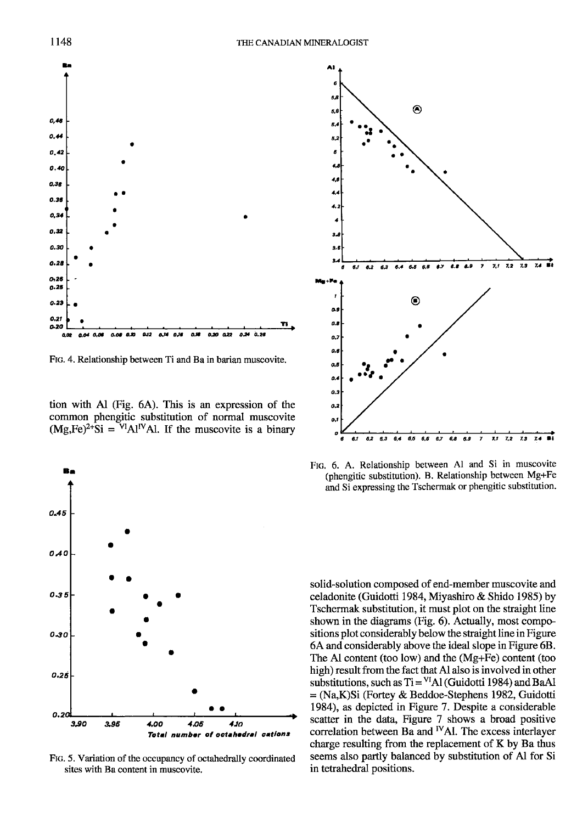

Ftc.4. Relationship between Ti and Ba in barian muscovite.

tion with Al (Fig.  $6A$ ). This is an expression of the common phengitic substitution of normal muscovite  $(Mg,Fe)^{2+}Si = VlAl^{IV}Al$ . If the muscovite is a binary



Ftc. 5. Variation of the occupancy of octahedrally coordinated sites with Ba content in muscovite.



FIG. 6. A. Relationship between Al and Si in muscovite (phengitic substitution). B. Relationship between Mg+Fe and Si expressing the Tschermak or phengitic substitution.

solid-solution composed of end-member muscovite and celadonite (Guidotti 1984, Miyashiro & Shido 1985) by Tschermak substitution, it must plot on the straight line shown in the diagrams (Fig. 6). Actually, most compositions plot considerably below the straight line in Figure 6A and considerably above the ideal slope in Figure 6B. The Al content (too low) and the (Mg+Fe) content (too high) result from the fact that Al also is involved in other substitutions, such as  $Ti = <sup>VI</sup>A1$  (Guidotti 1984) and BaAl = (Na,K)Si (Fortey & Beddoe-Stephens 1982, Guidotti 1984), as depicted in Figure 7. Despite a considerable scatter in the data, Figure 7 shows a broad positive correlation between Ba and <sup>IV</sup>Al. The excess interlayer charge resulting from the replacement of K by Ba thus seems also partly balanced by substitution of Al for Si in tetrahedral oositions.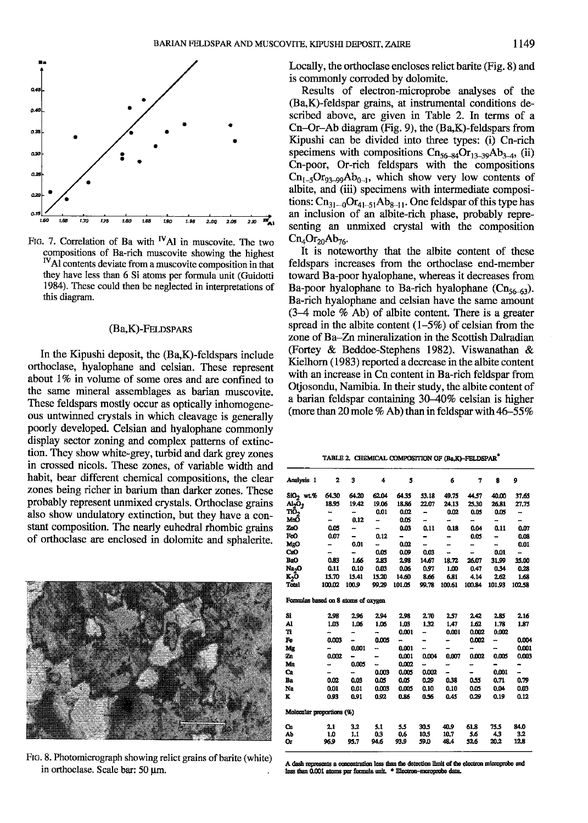

FIG. 7. Correlation of Ba with <sup>IV</sup>Al in muscovite. The two compositions of Ba-rich muscovite showing the highest <sup>IV</sup>Al contents deviate from a muscovite composition in that they have less than 6 Si atoms per formula unit (Guidotti 1984). These could then be neglected in interpretations of this diagram.

#### $(Ba,K)$ -Feldspars

In the Kipushi deposit, the  $(Ba,K)$ -feldspars include orthoclase, hyalophane and celsian. These represent about 1% in volume of some ores and are confined to the same mineral assemblages as barian muscovite. These feldspars mostly occur as optically inhomogeneous untwinned crystals in which cleavage is generally poorly developed. Celsian and hyalophane commonly display sector zoning and complex patlerns of extinction. They show white-grey, turbid and dark grey zones in crossed nicols. These zones, of variable width and habit, bear different chemical compositions, the clear zones being richer in barium than darker zones. These probably represent unmixed crystals. Orthoclase grains also show undulatory extinction, but they have a constant composition. The nearly euhedral rhombic grains of orthoclase are enclosed in dolomite and sphalerite.



FIG. 8. Photomicrograph showing relict grains of barite (white) in orthoclase. Scale bar: 50 um.

Locally, the orthoclase encloses relict barite (Fig. 8) and is commonly corroded by dolomite.

Results of electron-microprobe analyses of the (Ba,K)-feldspar grains, at instrumental conditions described above, are given in Table 2. In terms of a Cn-Or-Ab diagram (Fig. 9), the (Ba,K)-feldspars from Kipushi can be divided into three types: (i) Cn-rich specimens with compositions  $\text{Cn}_{56-84}\text{Or}_{13-39}\text{Ab}_{3-4}$ , (ii) Cn-poor, Or-rich feldspars with the compositions  $\text{Cr}_{1-5}\text{Or}_{93-99}\text{Ab}_{0-1}$ , which show very low contents of albite, and (iii) specimens with intermediate compositions:  $\text{Cn}_{31-0}\text{Or}_{41-51}\text{Ab}_{8-11}$ . One feldspar of this type has an inclusion of an albite-rich phase, probably representing an unmixed crystal with the composition  $Cn_4Or_{20}Ab_{76}$ .

It is noteworthy that the albite content of these feldspars increases from the orthoclase end-member toward Ba-poor hyalophane, whereas it decreases from Ba-poor hyalophane to Ba-rich hyalophane  $(Cn_{56-63})$ . Ba-rich hyalophane and celsian have the same amount  $(3-4$  mole  $%$  Ab) of albite content. There is a greater spread in the albite content  $(1-5\%)$  of celsian from the zone of Ba-Zn mineralization in the Scottish Dalradian (Fortey & Beddoe-Stephens 1982). Viswanathan & Kielhorn ( 1983) reported a decrease in the albite content with an increase in Cn content in Ba-rich feldspar from Otjosondu, Namibia. In their study, the albite content of a barian feldspar containing 30-40% celsian is higher (more than 20 mole  $%$  Ab) than in feldspar with 46-55%

TABLE 2. CHEMICAL COMPOSITION OF (Ba,K)-FELDSPAR<sup>®</sup>

| Analysis 1<br>SiO <sub>2</sub> wt.%<br>و0يله<br>TiŌ,<br>МюŌ<br>ZnO<br>FeO | $\mathbf{z}$<br>64.30<br>18.95<br>-<br>- | 3<br>64.20<br>19.42 | 4<br>62.04 | 5<br>64.35 |       | 6      | 7      | 8      | 9             |
|---------------------------------------------------------------------------|------------------------------------------|---------------------|------------|------------|-------|--------|--------|--------|---------------|
|                                                                           |                                          |                     |            |            |       |        |        |        |               |
|                                                                           |                                          |                     |            |            | 53.18 | 49.75  | 44.57  | 40.00  | 37.65         |
|                                                                           |                                          |                     | 19.06      | 18.86      | 22.07 | 24.13  | 25.30  | 26.81  | 27.73         |
|                                                                           |                                          | -                   | 0.01       | 0.02       | -     | 0.02   | 0.05   | 0.05   | -             |
|                                                                           |                                          | 0.12                | -          | 0.05       | -     | -      | -      | -      | -             |
|                                                                           | 0.05                                     | -                   | -          | 0.03       | 0.11  | 0.18   | 0.04   | 0.11   | 0.07          |
|                                                                           | 0.07                                     | -                   | 0.12       | -          |       | -      | 0.05   |        | 0.08          |
| MgO                                                                       | -                                        | 0.01                | -          | 0.02       | ÷     | -      | -      |        | 0.01          |
| CaO                                                                       | -                                        | ۰.                  | 0.05       | 0.09       | 0.03  | ă.     |        | 0.01   | $\rightarrow$ |
| BeO                                                                       | 0.83                                     | 1.66                | 2.83       | 2.98       | 14.67 | 18.72  | 26.07  | 31.99  | 35.00         |
| Na <sub>2</sub> O                                                         | 0.11                                     | 0.10                | 0.03       | 0.06       | 0.97  | 1.00   | 0.47   | 0.34   | 0.28          |
| x <sub>2</sub> ō                                                          | 15.70                                    | 15.41               | 15.20      | 14.60      | 8.66  | 6.81   | 4.14   | 2.62   | 1.68          |
| Total                                                                     | 100.02                                   | 100.9               | 99.29      | 101.05     | 99.78 | 100.61 | 100.84 | 101.93 | 102.58        |
| Formulas based on 8 atoms of oxygen                                       |                                          |                     |            |            |       |        |        |        |               |
| Sî                                                                        | 2.98                                     | 2.96                | 2.94       | 2.98       | 2.70  | 2.57   | 2.42   | 2.85   | 2.16          |
| Al                                                                        | 1.03                                     | 1.06                | 1.06       | 1.03       | 1.32  | 1.47   | 1.62   | 1.78   | 1.87          |
| n                                                                         |                                          |                     |            | 0.001      | -     | 0.001  | 0.002  | 0.002  |               |
| Fe                                                                        | 0.003                                    |                     | 0.005      | -          |       |        | 0.002  | -      | 0.004         |
| Mg                                                                        |                                          | 0.001               | -          | 0.001      | ÷     |        |        |        | 0.001         |
| Zn                                                                        | 0.002                                    | ۰.                  |            | 0.001      | 0.004 | 0.007  | 0.002  | 0.005  | 0.003         |
| Mn                                                                        |                                          | 0.005               | -          | 0.002      | -     |        |        | -      | -             |
| Ca                                                                        |                                          | -                   | 0.003      | 0.005      | 0.002 |        | -      | 0.001  |               |
| Ba                                                                        | 0.02                                     | 0.03                | 0.05       | 0.05       | 0,29  | 0.38   | 0.55   | 0.71   | 0.79          |
| Na                                                                        | 0.01                                     | 0.01                | 0.003      | 0.005      | 0.10  | 0.10   | 0.05   | 0.04   | 0.03          |
| ĸ                                                                         | 0.93                                     | 0.91                | 0.92       | 0.86       | 0.56  | 0.45   | 0.29   | 0.19   | 0.12          |
| Molecular proportions (%)                                                 |                                          |                     |            |            |       |        |        |        |               |
| œ                                                                         | 2.1                                      | 3.2                 | 5.1        | 5.5        | 30.5  | 40.9   | 61.8   | 75.5   | 84.0          |
| Ab                                                                        | 1.0                                      | 1.1                 | 0.3        | 0.6        | 10.5  | 10.7   | 5.6    | 4.3    | 3.2           |
| 0r                                                                        | 96.9                                     | 95.7                | 94.6       | 93.9       | 59.0  | 48.4   | 32.6   | 20.2   | 12,8          |

A dash represents a concentration less than the detection limit of the electron microprobe and ss than 0.001 atoms per formula unit. \* Electron-moroprobe data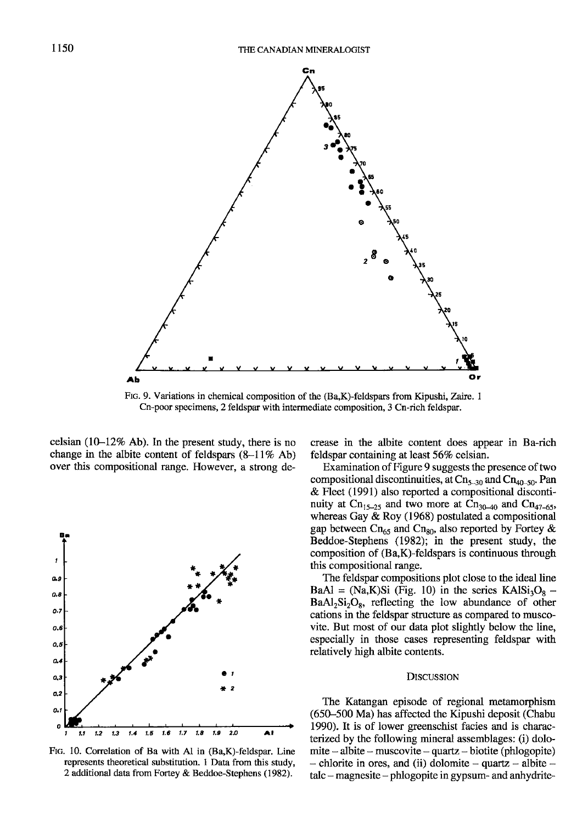

Ftc. 9. Variations in chemical composition of the (Ba,K)-feldspars from Kipushi, Zaire. I Cn-poor specimens, 2 feldspar with intermediate composition, 3Cn-rich feldspar.

celsian (10-12% Ab). In the present study, there is no change in the albite content of feldspars  $(8-11\%$  Ab) over this compositional range. However, a strong de-



FIG. 10. Correlation of Ba with Al in (Ba,K)-feldspar. Line represents theoretical substitution. I Data from this study, 2 additional data from Fortey & Beddoe-Stephens (1982).

crease in the albite content does appear in Ba-rich feldspar containing at least 56% celsian.

Examination of Figure 9 suggests the presence of two compositional discontinuities, at  $\text{Ch}_{5-30}$  and  $\text{Ch}_{40-50}$ . Pan & Fleet (1991) also reported a compositional discontinuity at Cn<sub>15-25</sub> and two more at Cn<sub>30-40</sub> and Cn<sub>47-65</sub>, whereas Gay & Roy (1968) postulated a compositional gap between Cn<sub>65</sub> and Cn<sub>80</sub>, also reported by Fortey & Beddoe-Stephens (1982); in the present study, the composition of (Ba,K)-feldspars is continuous through this compositional range.

The feldspar compositions plot close to the ideal line BaAl = (Na,K)Si (Fig. 10) in the series  $KAlSi<sub>3</sub>O<sub>8</sub>$  –  $BaAl<sub>2</sub>Si<sub>2</sub>O<sub>8</sub>$ , reflecting the low abundance of other cations in the feldspar strucfure as compared to muscovite. But most of our data plot slightly below the line, especially in those cases representing feldspar with relatively high albite contents.

#### DISCUSSION

The Katangan episode of regional metamorphism (650-500 Ma) has affected the Kipushi deposit (Chabu 1990). It is of lower greenschist facies and is characterized by the following mineral assemblages: (i) dolomite - albite - muscovite - quartz - biotite (phlogopite)  $-$  chlorite in ores, and (ii) dolomite  $-$  quartz  $-$  albite  $$ talc - magnesite - phlogopite in gypsum- and anhydrite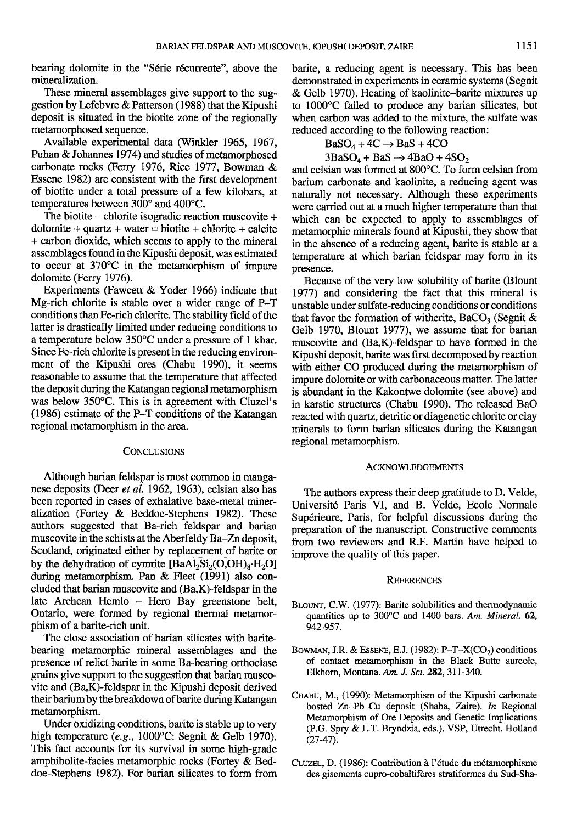bearing dolomite in the "Série récurrente", above the mineralization.

These mineral assemblages give support to the suggestion by Lefebvre & Patterson (1988) that the Kipushi deposit is situated in the biotite zone of the regionally metamorphosed sequence.

Available experimental data (Winkler 1965, 1967, Puhan & Johannes 1974) and studies of metamorphosed carbonate rocks (Ferry 1976, Rice 1977, Bowman & Essene 1982) are consistent with the first development of biotite under a total pressure of a few kilobars, at temperatures between 300° and 400°C.

The biotite – chlorite isogradic reaction muscovite  $+$  $\text{dolomite} + \text{quartz} + \text{water} = \text{biotic} + \text{chlorite} + \text{calcite}$ + carbon dioxide, which seems to apply to the mineral assemblages found in the Kipushi deposit, was estimated to occur at 370'C in the metamorphism of impure dolomite (Ferry 1976).

Experiments (Fawcett & Yoder 1966) indicate that Mg-rich chlorite is stable over a wider range of P-T conditions than Fe-rich chlorite. The stability field of the latter is drastically limited under reducing conditions to a temperature below 350'C under a pressure of 1 kbar. Since Fe-rich chlorite is present in the reducing environment of the Kipushi ores (Chabu 1990), it seems reasonable to assume that the temperature that affected the deposit during the Katangan regional metamorphism was below 350'C. This is in agreement with Cluzel's (1986) estimate of the P-T conditions of the Katangan regional metamorphism in the area.

### **CONCLUSIONS**

Although barian feldspar is most common in manganese deposits (Deer et al. 1962, 1963), celsian also has been reporied in cases of exhalative base-metal mineralization (Fortey & Beddoe-Stephens 1982). These autlors suggested that Ba-rich feldspar and barian muscovite in the schists at the Aberfeldy Ba-Zn deposit, Scotland, originated either by replacement of barite or by the dehydration of cymrite  $[BaA<sub>2</sub>Si<sub>2</sub>(O,OH)<sub>8</sub>·H<sub>2</sub>O]$ during metamorphism. Pan & Fleet (1991) also concluded that barian muscovite and (BaK)-feldspar in the late Archean Hemlo - Hero Bay greenstone belt, Ontario, were formed by regional thermal metamorphism of a barite-rich unit.

The close association of barian silicates with baritebearing metamorphic mineral assemblages and the presence of relict barite in some Ba-bearing orthoclase grains give support to the suggestion that barian muscovite and (BaK)-feldspar in the Kipushi deposit derived their barium by the breakdown of barite during Katangan metamorphism.

Under oxidizing conditions, barite is stable up to very high temperature (e.g., 1000°C: Segnit & Gelb 1970). This fact accounts for its survival in some high-grade amphibolite-facies metamorphic rocks (Fortey & Beddoe-Stephens 1982). For barian silicates to form from barite, a reducing agent is necessary. This has been demonstrated in experiments in ceramic systems (Segnit & Gelb 1970). Heating of kaolinite-barite mixtures up to 1000°C failed to produce any barian silicates, but when carbon was added to the mixture, the sulfate was reduced according to the following reaction:

$$
BaSO_4 + 4C \rightarrow BaS + 4CO
$$

 $3BaSO<sub>4</sub> + BaS \rightarrow 4BaO + 4SO<sub>2</sub>$ 

and celsian was formed at 800°C. To form celsian from barium carbonate and kaolinite, a reducing agent was naturally not necessary. Although these experiments were carried out at a much higher temperature than that which can be expected to apply to assemblages of metamorphic minerals found at Kipushi, they show that in the absence of a reducing agent, barite is stable at a temperature at which barian feldspar may form in its presence.

Because of the very low solubility of barite (Blount 1977) and considering the fact that this mineral is unstable under sulfate-reducing conditions or conditions that favor the formation of witherite, BaCO<sub>3</sub> (Segnit & Gelb 1970, Blount 1977), we assume that for barian muscovite and (Ba,K)-feldspar to have formed in the Kipushi deposit, barite was first decomposed by reaction with either CO produced during the metamorphism of impure dolomite or with carbonaceous matter. The latter is abundant in the Kakontwe dolomite (see above) and in karstic structures (Chabu 1990). The released BaO reacted with quartz, detritic or diagenetic chlorite or clay minerals to form barian silicates during the Katangan regional metamorphism.

#### ACKNOWLEDGEMENTS

The authors express their deep gratitude to D. Velde, Université Paris VI, and B. Velde, Ecole Normale Supérieure, Paris, for helpful discussions during the preparation of the manuscript. Constructive comments from two reviewers and R.F. Martin have helped to improve the quality of this paper.

#### **REFERENCES**

- BLOUNT, C.W. (1977): Barite solubilities and thermodynamic quantities up to 300 $^{\circ}$ C and 1400 bars. Am. Mineral. 62, 942-957.
- BOWMAN, J.R. & ESSENE, E.J. (1982): P-T- $X(CO<sub>2</sub>)$  conditions of contact metamorphism in the Black Butte aureole, Elkhorn, Montana. Am. J. Sci. 282, 311-340.
- CHABU, M., (1990): Metamorphism of the Kipushi carbonate hosted Zn-Pb-Cu deposit (Shaba, Zaire). *In* Regional Metamorphism of Ore Deposits and Genetic Implications (P.c. Spry & L.T. Bryndzia eds.). VSP, Utrecht, Holland  $(27-47).$
- CLUZEL, D. (1986): Contribution à l'étude du métamorphisme des gisements cupro-cobaltifdres stratiformes du Sud-Sha-